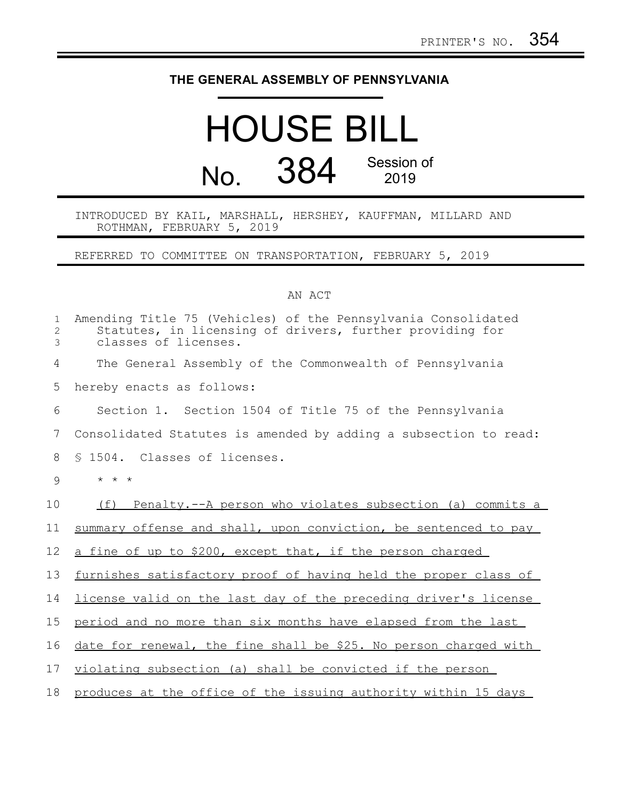## **THE GENERAL ASSEMBLY OF PENNSYLVANIA**

## HOUSE BILL No. 384 Session of 2019

INTRODUCED BY KAIL, MARSHALL, HERSHEY, KAUFFMAN, MILLARD AND ROTHMAN, FEBRUARY 5, 2019

REFERRED TO COMMITTEE ON TRANSPORTATION, FEBRUARY 5, 2019

## AN ACT

| $\mathbf 1$<br>$\mathbf{2}$<br>3 | Amending Title 75 (Vehicles) of the Pennsylvania Consolidated<br>Statutes, in licensing of drivers, further providing for<br>classes of licenses. |
|----------------------------------|---------------------------------------------------------------------------------------------------------------------------------------------------|
| 4                                | The General Assembly of the Commonwealth of Pennsylvania                                                                                          |
| 5                                | hereby enacts as follows:                                                                                                                         |
| 6                                | Section 1. Section 1504 of Title 75 of the Pennsylvania                                                                                           |
| 7                                | Consolidated Statutes is amended by adding a subsection to read:                                                                                  |
| 8                                | \$ 1504. Classes of licenses.                                                                                                                     |
| 9                                | $\star$ $\star$ $\star$                                                                                                                           |
| 10                               | Penalty.--A person who violates subsection (a) commits a<br>(f)                                                                                   |
| 11                               | summary offense and shall, upon conviction, be sentenced to pay                                                                                   |
| 12                               | a fine of up to \$200, except that, if the person charged                                                                                         |
| 13                               | furnishes satisfactory proof of having held the proper class of                                                                                   |
| 14                               | license valid on the last day of the preceding driver's license                                                                                   |
| 15                               | period and no more than six months have elapsed from the last                                                                                     |
| 16                               | date for renewal, the fine shall be \$25. No person charged with                                                                                  |
| 17                               | violating subsection (a) shall be convicted if the person                                                                                         |
| 18                               | produces at the office of the issuing authority within 15 days                                                                                    |